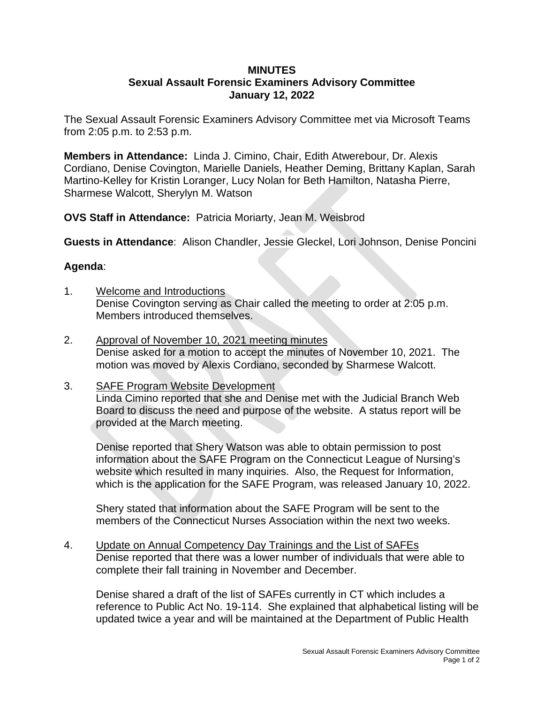## **MINUTES Sexual Assault Forensic Examiners Advisory Committee January 12, 2022**

The Sexual Assault Forensic Examiners Advisory Committee met via Microsoft Teams from 2:05 p.m. to 2:53 p.m.

**Members in Attendance:** Linda J. Cimino, Chair, Edith Atwerebour, Dr. Alexis Cordiano, Denise Covington, Marielle Daniels, Heather Deming, Brittany Kaplan, Sarah Martino-Kelley for Kristin Loranger, Lucy Nolan for Beth Hamilton, Natasha Pierre, Sharmese Walcott, Sherylyn M. Watson

**OVS Staff in Attendance:** Patricia Moriarty, Jean M. Weisbrod

**Guests in Attendance**: Alison Chandler, Jessie Gleckel, Lori Johnson, Denise Poncini

## **Agenda**:

- 1. Welcome and Introductions Denise Covington serving as Chair called the meeting to order at 2:05 p.m. Members introduced themselves.
- 2. Approval of November 10, 2021 meeting minutes Denise asked for a motion to accept the minutes of November 10, 2021. The motion was moved by Alexis Cordiano, seconded by Sharmese Walcott.

## 3. SAFE Program Website Development Linda Cimino reported that she and Denise met with the Judicial Branch Web Board to discuss the need and purpose of the website. A status report will be provided at the March meeting.

Denise reported that Shery Watson was able to obtain permission to post information about the SAFE Program on the Connecticut League of Nursing's website which resulted in many inquiries. Also, the Request for Information, which is the application for the SAFE Program, was released January 10, 2022.

Shery stated that information about the SAFE Program will be sent to the members of the Connecticut Nurses Association within the next two weeks.

4. Update on Annual Competency Day Trainings and the List of SAFEs Denise reported that there was a lower number of individuals that were able to complete their fall training in November and December.

Denise shared a draft of the list of SAFEs currently in CT which includes a reference to Public Act No. 19-114. She explained that alphabetical listing will be updated twice a year and will be maintained at the Department of Public Health